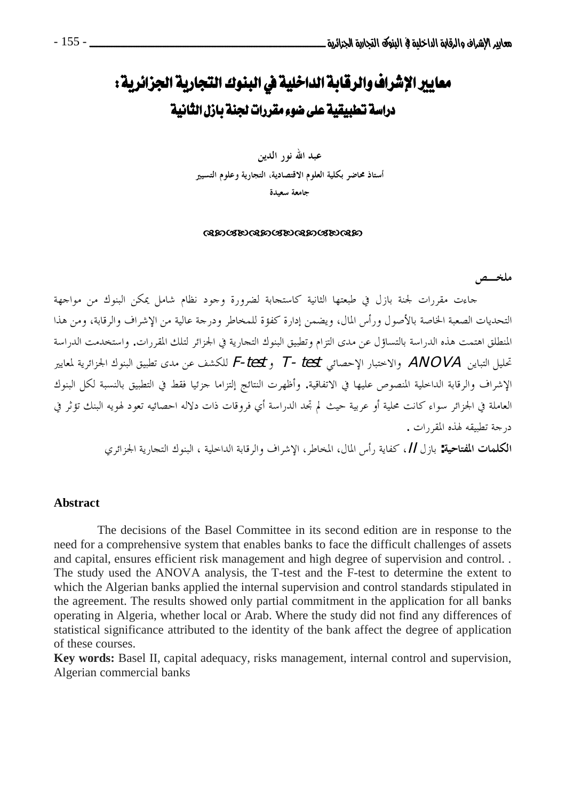# معايير الإشراف والرقابة الداخلية في البنوك التجارية الجزائرية : دراسة تطبيقية على ضوء مقررات لجنة بازل الثانية

عبد الله نور الدين أستاذ محاضر بكلية العلوم الاقتصادية، التجارية وعلوم التسيير جامعة سعيدة

#### ෬෨෮෩෬෨෮෩෬෨෮෩෬෨

ملخصص

جاءت مقررات لجنة بازل في طبعتها الثانية كاستجابة لضرورة وجود نظام شامل يمكن البنوك من مواجهة التحديات الصعبة الخاصة بالأصول ورأس المال، ويضمن إدارة كفؤة للمخاطر ودرجة عالية من الإشراف والرقابة، ومن هذا المنطلق اهتمت هذه الدراسة بالتساؤل عن مدى التزام وتطبيق البنوك التجارية في الجزائر لتلك المقررات. واستخدمت الدراسة تحليل التباين ANOVA والاختبار الإحصائي F-test , T- test للكشف عن مدى تطبيق البنوك الجزائرية لمعايير الإشراف والرقابة الداخلية المنصوص عليها في الاتفاقية. وأظهرت النتائج إلتزاما جزئيا فقط في التطبيق بالنسبة لكل البنوك العاملة في الجزائر سواء كانت محلية أو عربية حيث لم تجد الدراسة أي فروقات ذات دلاله احصائيه تعود لهويه البنك تؤثر في درجة تطبيقه لهذه المقررات .

الكلمات المفتاحية: باز ل [/، كفاية , أس المال، المخاطر، الإشراف والرقابة الداخلية ، البنوك التجارية الجزائري

#### **Abstract**

The decisions of the Basel Committee in its second edition are in response to the need for a comprehensive system that enables banks to face the difficult challenges of assets and capital, ensures efficient risk management and high degree of supervision and control.. The study used the ANOVA analysis, the T-test and the F-test to determine the extent to which the Algerian banks applied the internal supervision and control standards stipulated in the agreement. The results showed only partial commitment in the application for all banks operating in Algeria, whether local or Arab. Where the study did not find any differences of statistical significance attributed to the identity of the bank affect the degree of application of these courses.

**Key words:** Basel II, capital adequacy, risks management, internal control and supervision, Algerian commercial banks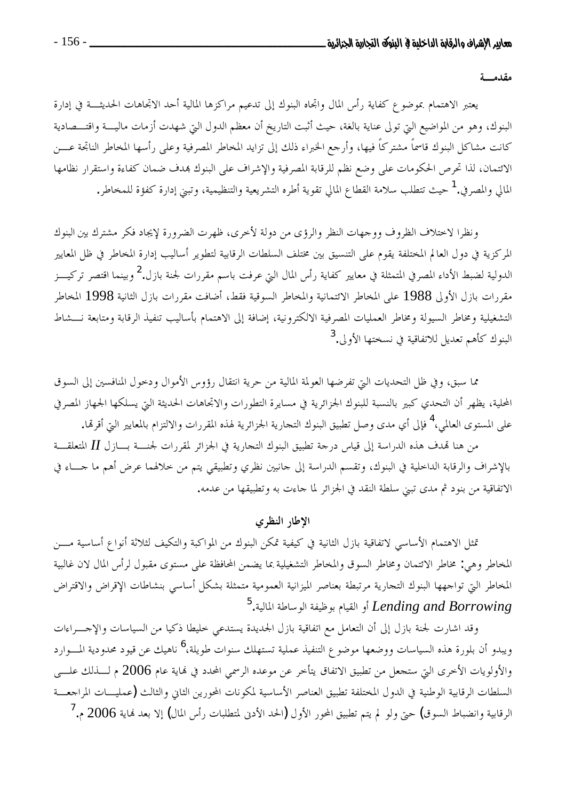مقدمسة

يعتبر الاهتمام بموضوع كفاية رأس المال واتجاه البنوك إلى تدعيم مراكزها المالية أحد الاتجاهات الحديثـــة في إدارة البنوك، وهو من المواضيع التي تولى عناية بالغة، حيث أثبت التاريخ أن معظم الدول التي شهدت أزمات ماليـــة واقتـــصادية كانت مشاكل البنوك قاسماً مشتركاً فيها، وأرجع الخبراء ذلك إلى تزايد المخاطر المصرفية وعلى رأسها المخاطر الناتحة عـــن الائتمان، لذا تحرص الحكومات على وضع نظم للرقابة المصرفية والإشراف على البنوك بمدف ضمان كفاءة واستقرار نظامها المالى والمصرفي.<sup>1</sup> حيث تتطلب سلامة القطاع المالي تقوية أطره التشريعية والتنظيمية، وتبني إدارة كفؤة للمخاطر.

ونظرا لاختلاف الظروف ووجهات النظر والرؤى من دولة لأخرى، ظهرت الضرورة لإيجاد فكر مشترك بين البنوك المركزية في دول العالم المختلفة يقوم على التنسيق بين مختلف السلطات الرقابية لتطوير أساليب إدارة المخاطر في ظل المعايير الدولية لضبط الأداء المصرفي المتمثلة في معايير كفاية رأس المال التي عرفت باسم مقررات لجنة بازل.<sup>2</sup> وبينما اقتصر تركيـــز مقررات بازل الأولى 1988 على المخاطر الائتمانية والمخاطر السوقية فقط، أضافت مقررات بازل الثانية 1998 المخاطر التشغيلية ومخاطر السيولة ومخاطر العمليات المصرفية الالكترونية، إضافة إلى الاهتمام بأساليب تنفيذ الرقابة ومتابعة نـــشاط البنوك كأهم تعديل للاتفاقية في نسختها الأولى.<sup>3</sup>

مما سبق، وفي ظل التحديات التي تفرضها العولمة المالية من حرية انتقال رؤوس الأموال ودحول المنافسين إلى السوق المحلية، يظهر أن التحدي كبير بالنسبة للبنوك الجزائرية في مسايرة التطورات والاتجاهات الحديثة التي يسلكها الجهاز المصرفي على المستوى العالمي،<sup>4</sup> فإلى أي مدى وصل تطبيق البنوك التجارية الجزائرية لهذه المقررات والالتزام بالمعايير التي أقرقما.

من هنا تهدف هذه الدراسة إلى قياس درجة تطبيق البنوك التجارية في الجزائر لمقررات لجنسـة بـــازل II المتعلقـــة بالإشراف والرقابة الداخلية في البنوك، وتقسم الدراسة إلى جانبين نظري وتطبيقي يتم من خلالهما عرض أهم ما حساء في الاتفاقية من بنود ثم مدى تبني سلطة النقد في الجزائر لما حاءت به وتطبيقها من عدمه.

#### الإطار النظرى

تمثل الاهتمام الأساسي لاتفاقية بازل الثانية في كيفية تمكن البنوك من المواكبة والتكيف لثلاثة أنواع أساسية مـــن المخاطر وهي: مخاطر الائتمان ومخاطر السوق والمخاطر التشغيلية بما يضمن المحافظة على مستوى مقبول لرأس المال لان غالبية المخاطر التي تواجهها البنوك التجارية مرتبطة بعناصر الميزانية العمومية متمثلة بشكل أساسي بنشاطات الإقراض والاقتراض <sup>5</sup> و القيام بوظيفة الوساطة المالية. Lending and Borrowing

وقد اشارت لجنة بازل إلى أن التعامل مع اتفاقية بازل الجديدة يستدعى خليطا ذكيا من السياسات والإجـــراءات ويبدو أن بلورة هذه السياسات ووضعها موضوع التنفيذ عملية تستهلك سنوات طويلة،<sup>6</sup> ناهيك عن قيود محدودية المسوارد والأولويات الأخرى التي ستجعل من تطبيق الاتفاق يتأخر عن موعده الرسمي المحدد في نماية عام 2006 م لــــذلك علــــي السلطات الرقابية الوطنية في الدول المختلفة تطبيق العناصر الأساسية لمكونات المحورين الثاني والثالث (عمليــات المراجعـــة الرقابية وانضباط السوق) حتى ولو لم يتم تطبيق المحور الأول (الحد الأدنى لمتطلبات رأس المال) إلا بعد نماية 2006 م. <sup>7</sup>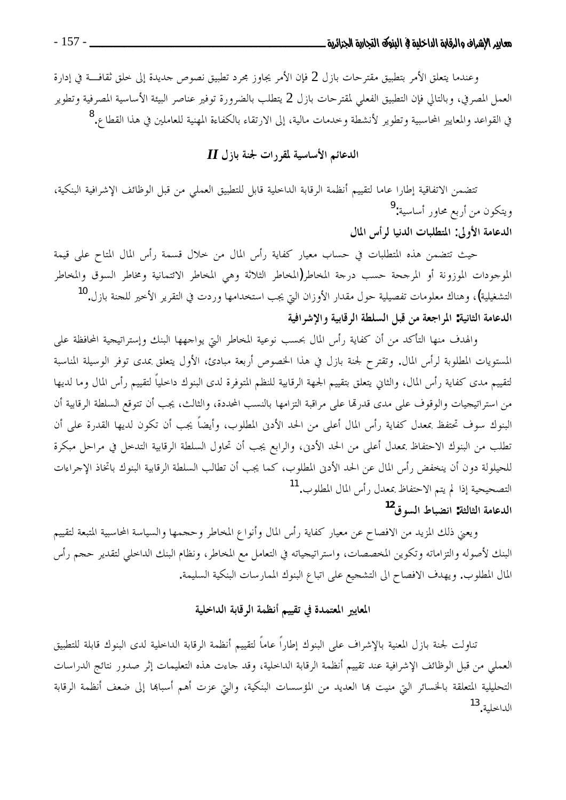وعندما يتعلق الأمر بتطبيق مقترحات بازل 2 فإن الأمر يجاوز مجرد تطبيق نصوص حديدة إلى حلق ثقافـــة في إدارة العمل المصرفي، وبالتالي فإن التطبيق الفعلي لمقترحات بازل 2 يتطلب بالضرورة توفير عناصر البيئة الأساسية المصرفية وتطوير في القواعد والمعايير المحاسبية وتطوير لأنشطة وخدمات مالية، إلى الارتقاء بالكفاءة المهنية للعاملين في هذا القطاع.<sup>8</sup>

# $\boldsymbol{H}$  الدعائم الأساسية لمقررات لجنة بازل

تتضمن الاتفاقية إطارا عاما لتقييم أنظمة الرقابة الداخلية قابل للتطبيق العملي من قبل الوظائف الإشرافية البنكية، ويتكون من أربع محاور أساسية:<sup>9</sup>

الدعامة الأولى: المتطلبات الدنيا لمرأس المال

حيث تتضمن هذه المتطلبات في حساب معيار كفاية رأس المال من حلال قسمة رأس المال المتاح على قيمة الموجودات الموزونة أو المرجحة حسب درجة المخاطر(المخاطر الثلاثة وهي المخاطر الائتمانية ومخاطر السوق والمخاطر التشغيلية)، وهناك معلومات تفصيلية حول مقدار الأوزان التي يجب استخدامها وردت في التقرير الأحير للحنة بازل.<sup>10</sup> الدعامة الثانية: المراجعة من قبل السلطة الرقابية والإشرافية

والهدف منها التأكد من أن كفاية رأس المال بحسب نوعية المخاطر التي يواجهها البنك وإستراتيجية المحافظة على المستويات المطلوبة لرأس المال. وتقترح لجنة بازل في هذا الخصوص أربعة مبادئ، الأول يتعلق بمدى توفر الوسيلة المناسبة لتقييم مدى كفاية رأس المال، والثاني يتعلق بتقييم الجهة الرقابية للنظم المتوفرة لدى البنوك داخلياً لتقييم رأس المال وما لديها من استراتيجيات والوقوف على مدى قدرها على مراقبة التزامها بالنسب المحددة، والثالث، يجب أن تتوقع السلطة الرقابية أن البنوك سوف تحتفظ بمعدل كفاية رأس المال أعلى من الحد الأدن المطلوب، وأيضاً يجب أن تكون لديها القدرة على أن تطلب من البنوك الاحتفاظ بمعدل أعلى من الحد الأدنى، والرابع يجب أن تحاول السلطة الرقابية التدخل في مراحل مبكرة للحيلولة دون أن ينخفض رأس المال عن الحد الأدبى المطلوب، كما يجب أن تطالب السلطة الرقابية البنوك باتخاذ الإجراءات التصحيحية إذا لم يتم الاحتفاظ بمعدل رأس المال المطلوب.<sup>11</sup> الدعامة الثالثة: انضباط السوق<sup>12</sup>

ويعني ذلك المزيد من الافصاح عن معيار كفاية رأس المال وأنواع المخاطر وحجمها والسياسة المحاسبية المتبعة لتقييم البنك لأصوله والتزاماته وتكوين المخصصات، واستراتيجياته في التعامل مع المخاطر، ونظام البنك الداحلي لتقدير حجم رأس المال المطلوب. ويهدف الافصاح الى التشجيع على اتباع البنوك الممارسات البنكية السليمة.

# المعايير المعتمدة في تقييم أنظمة الرقابة الداخلية

تناولت لجنة بازل المعنية بالإشراف على البنوك إطاراً عاماً لتقييم أنظمة الرقابة الداحلية لدى البنوك قابلة للتطبيق العملي من قبل الوظائف الإشرافية عند تقييم أنظمة الرقابة الداخلية، وقد حاءت هذه التعليمات إثر صدور نتائج الدراسات التحليلية المتعلقة بالخسائر التي منيت بما العديد من المؤسسات البنكية، والتي عزت أهم أسباها إلى ضعف أنظمة الرقابة الداخلية. 13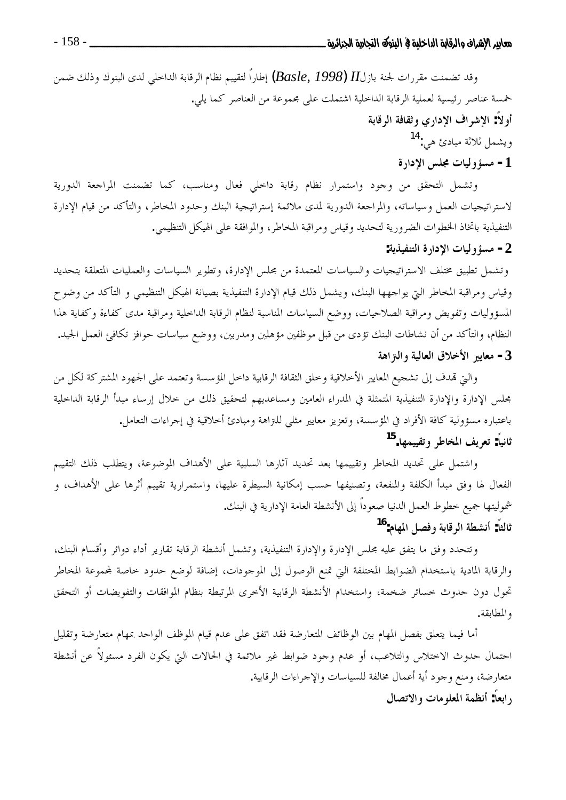وقد تضمنت مقررات لجنة بازلII (Basle, 1998) إطاراً لتقييم نظام الرقابة الداحلي لدى البنوك وذلك ضمن خمسة عناصر رئيسية لعملية الرقابة الداخلية اشتملت على مجموعة من العناصر كما يلي. أو لاً: الإشراف الإداري وثقافة الرقابة ويشمل ثلاثة مبادئ هي:<sup>14</sup> 1- مسؤوليات مجلس الإدارة

وتشمل التحقق من وجود واستمرار نظام رقابة داحلي فعال ومناسب، كما تضمنت المراجعة الدورية لاستراتيجيات العمل وسياساته، والمراجعة الدورية لمدى ملائمة إستراتيجية البنك وحدود المخاطر، والتأكد من قيام الإدارة التنفيذية باتخاذ الخطوات الضرورية لتحديد وقياس ومراقبة المخاطر، والموافقة على الهيكل التنظيمي. 2- مسؤوليات الإدارة التنفيذية:

وتشمل تطبيق مختلف الاستراتيجيات والسياسات المعتمدة من مجلس الإدارة، وتطوير السياسات والعمليات المتعلقة بتحديد وقياس ومراقبة المخاطر التي يواجهها البنك، ويشمل ذلك قيام الإدارة التنفيذية بصيانة الهيكل التنظيمي و التأكد من وضوح المسؤوليات وتفويض ومراقبة الصلاحيات، ووضع السياسات المناسبة لنظام الرقابة الداحلية ومراقبة مدى كفاءة وكفاية هذا النظام، والتأكد من أن نشاطات البنك تؤدي من قبل موظفين مؤهلين ومدربين، ووضع سياسات حوافز تكافئ العمل الجيد. 3- معايير الأخلاق العالية والـتزاهة

والتي تمدف إلى تشجيع المعايير الأخلاقية وخلق الثقافة الرقابية داخل المؤسسة وتعتمد على الجهود المشتركة لكل من مجلس الإدارة والإدارة التنفيذية المتمثلة في المدراء العامين ومساعديهم لتحقيق ذلك من خلال إرساء مبدأ الرقابة الداخلية باعتباره مسؤولية كافة الأفراد في المؤسسة، وتعزيز معايير مثلي للنزاهة ومبادئ أخلاقية في إجراءات التعامل. ثانياً: تعريف المخاطر وتقييمها.<sup>15</sup>

واشتمل على تحديد المخاطر وتقييمها بعد تحديد آثارها السلبية على الأهداف الموضوعة، ويتطلب ذلك التقييم الفعال لها وفق مبدأ الكلفة والمنفعة، وتصنيفها حسب إمكانية السيطرة عليها، واستمرارية تقييم أثرها على الأهداف، و شموليتها جميع خطوط العمل الدنيا صعوداً إلى الأنشطة العامة الإدارية في البنك. ثالثاً: أنشطة الرقابة وفصل المهام:<sup>16</sup>

وتتحدد وفق ما يتفق عليه محلس الإدارة والإدارة التنفيذية، وتشمل أنشطة الرقابة تقارير أداء دوائر وأقسام البنك، والرقابة المادية باستخدام الضوابط المختلفة التي تمنع الوصول إلى الموجودات، إضافة لوضع حدود حاصة لمحموعة المخاطر تحول دون حدوث حسائر ضخمة، واستخدام الأنشطة الرقابية الأخرى المرتبطة بنظام الموافقات والتفويضات أو التحقق والمطابقة.

أما فيما يتعلق بفصل المهام بين الوظائف المتعارضة فقد اتفق على عدم قيام الموظف الواحد بمهام متعارضة وتقليل احتمال حدوث الاختلاس والتلاعب، أو عدم وجود ضوابط غير ملائمة في الحالات التي يكون الفرد مسئولاً عن أنشطة متعارضة، ومنع وجود أية أعمال مخالفة للسياسات والإجراءات الرقابية. رابعا: أنظمة المعلومات والاتصال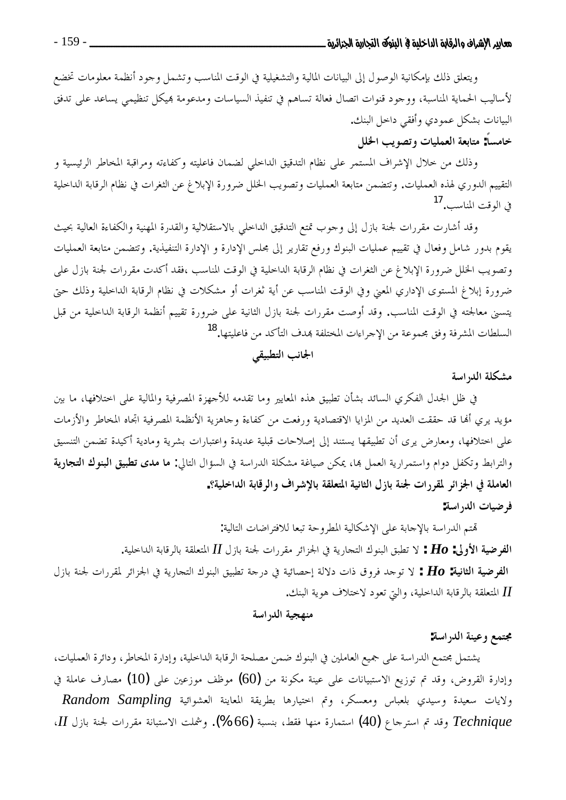ويتعلق ذلك بإمكانية الوصول إلى البيانات المالية والتشغيلية في الوقت المناسب وتشمل وجود أنظمة معلومات تخضع لأساليب الحماية المناسبة، ووجود قنوات اتصال فعالة تساهم في تنفيذ السياسات ومدعومة بميكل تنظيمي يساعد على تدفق البيانات بشكل عمودي وأفقى داخل البنك.

# خامساً: متابعة العمليات وتصويب الخلل

وذلك من حلال الإشراف المستمر على نظام التدقيق الداحلي لضمان فاعليته وكفاءته ومراقبة المخاطر الرئيسية و التقييم الدوري لهذه العمليات. وتتضمن متابعة العمليات وتصويب الخلل ضرورة الإبلاغ عن الثغرات في نظام الرقابة الداحلية في الوقت المناسب.<sup>17</sup>

وقد أشارت مقررات لجنة بازل إلى وحوب تمتع التدقيق الداحلي بالاستقلالية والقدرة المهنية والكفاءة العالية بحيث يقوم بدور شامل وفعال في تقييم عمليات البنوك ورفع تقارير إلى مجلس الإدارة و الإدارة التنفيذية. وتتضمن متابعة العمليات وتصويب الخلل ضرورة الإبلاغ عن الثغرات في نظام الرقابة الداحلية في الوقت المناسب ،فقد أكدت مقررات لجنة بازل على ضرورة إبلاغ المستوى الإداري المعنى وفي الوقت المناسب عن أية ثغرات أو مشكلات في نظام الرقابة الداخلية وذلك حتى يتسنى معالجته في الوقت المناسب. وقد أوصت مقررات لجنة بازل الثانية على ضرورة تقييم أنظمة الرقابة الداخلية من قبل السلطات المشرفة وفق مجموعة من الإحراءات المختلفة بمدف التأكد من فاعليتها.<sup>18</sup>

# الجانب التطبيقي

# مشكلة الدراسة

في ظل الجدل الفكري السائد بشأن تطبيق هذه المعايير وما تقدمه للأجهزة المصرفية والمالية على احتلافها، ما بين مؤيد يري ألها قد حققت العديد من المزايا الاقتصادية ورفعت من كفاءة وحاهزية الأنظمة المصرفية اتحاه المخاطر والأزمات على احتلافها، ومعارض يرى أن تطبيقها يستند إلى إصلاحات قبلية عديدة واعتبارات بشرية ومادية أكيدة تضمن التنسيق والترابط وتكفل دوام واستمرارية العمل بما، يمكن صياغة مشكلة الدراسة في السؤال التالي: **ما مدى تطبيق البنوك التجارية** العاملة في الجزائر لمقررات لجنة بازل الثانية المتعلقة بالإشراف والرقابة الداخلية؟.

### فرضيات الدراسة:

تمتم الدراسة بالإحابة على الإشكالية المطروحة تبعا للافتراضات التالية: الفرضية الأولى:  $\bm{H}o$  : لا تطبق البنوك التجارية في الجزائر مقررات لجنة بازل  $I$  المتعلقة بالرقابة الداحلية. الفرضية الثانية: Ho : لا توحد فروق ذات دلالة إحصائية في درجة تطبيق البنوك التجارية في الجزائر لمقررات لجنة بازل II المتعلقة بالرقابة الداخلية، والتي تعود لاختلاف هوية البنك.

## منهجية الدراسة

#### مجتمع وعينة الدراسة:

يشتمل محتمع الدراسة على جميع العاملين في البنوك ضمن مصلحة الرقابة الداخلية، وإدارة المخاطر، ودائرة العمليات، وإدارة القروض، وقد تم توزيع الاستبيانات على عينة مكونة من (60) موظف موزعين على (10) مصارف عاملة في ولايات سعيدة وسيدى بلعباس ومعسكر، وتم احتيارها بطريقة المعاينة العشوائية Random Sampling Technique وقد تم استرحاع (40) استمارة منها فقط، بنسبة (66 %). وشملت الاستبانة مقررات لجنة بازل II،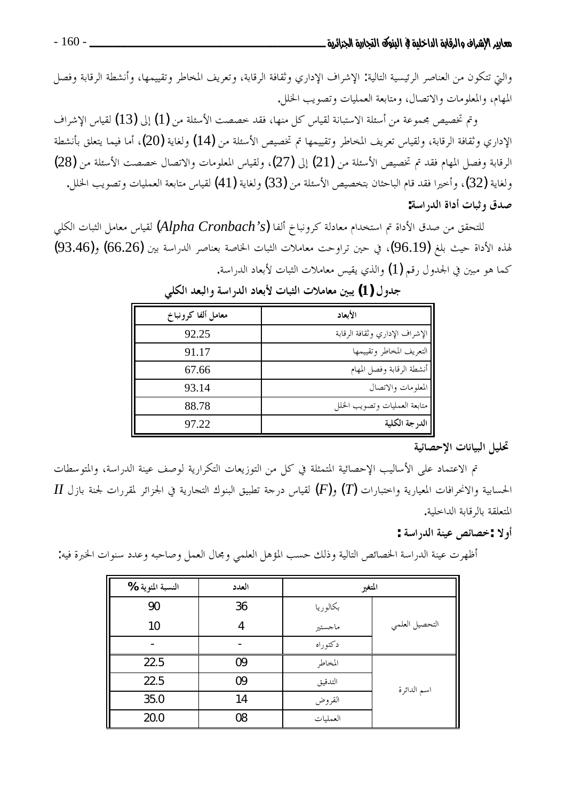والتي تتكون من العناصر الرئيسية التالية: الإشراف الإداري وثقافة الرقابة، وتعريف المخاطر وتقييمها، وأنشطة الرقابة وفصل المهام، والمعلومات والاتصال، ومتابعة العمليات وتصويب الخلل.

وتم تخصيص مجموعة من أسئلة الاستبانة لقياس كل منها، فقد خصصت الأسئلة من (1) إلى (13) لقياس الإشراف الإداري وثقافة الرقابة، ولقياس تعريف المخاطر وتقييمها تم تخصيص الأسئلة من (14) ولغاية (20)، أما فيما يتعلق بأنشطة الرقابة وفصل المهام فقد تم تخصيص الأسئلة من (21) إلى (27)، ولقياس المعلومات والاتصال حصصت الأسئلة من (28) ولغاية (32)، وأخيرا فقد قام الباحثان بتخصيص الأسئلة من (33) ولغاية (41) لقياس متابعة العمليات وتصويب الخلل. صدق وثبات أداة الدراسة:

للتحقق من صدق الأداة تم استخدام معادلة كرونباخ ألفا (Alpha Cronbach's) لقياس معامل الثبات الكلي لهذه الأداة حيث بلغ (96.19)، في حين تراوحت معاملات الثبات الخاصة بعناصر الدراسة بين (66.26) و(93.46) كما هو مبين في الجدول رقم (1) والذي يقيس معاملات الثبات لأبعاد الدراسة.

| معامل ألفا كرونباخ | الأبعاد                        |
|--------------------|--------------------------------|
| 92.25              | الإشراف الإداري وثقافة الرقابة |
| 91.17              | التعريف المخاطر وتقييمها       |
| 67.66              | أنشطة الرقابة وفصل المهام      |
| 93.14              | المعلومات والاتصال             |
| 88.78              | متابعة العمليات وتصويب الخلل   |
| 97.22              | الدرجة الكلية                  |

جدول (1) يبين معاملات الثبات لأبعاد الدراسة والبعد الكلبي

#### تحليل البيانات الاحصائية

تم الاعتماد على الأساليب الإحصائية المتمثلة في كل من التوزيعات التكرارية لوصف عينة الدراسة، والمتوسطات  $H$  الحسابية والانحرافات المعيارية واختبارات  $(\varGamma)$  و $(F)$  لقياس درحة تطبيق البنوك التحارية في الجزائر لمقررات لجنة بازل المتعلقة بالرقابة الداخلية.

## أولا :خصائص عينة الدراسة :

أظهرت عينة الدراسة الخصائص التالية وذلك حسب المؤهل العلمي ومجال العمل وصاحبه وعدد سنوات الخبرة فيه:

| النسبة المئوية %         | العدد | المتغير  |                |
|--------------------------|-------|----------|----------------|
| 90                       | 36    | بكالوريا |                |
| 10                       | 4     | ماجستير  | التحصيل العلمي |
| $\overline{\phantom{0}}$ |       | دكتوراه  |                |
| 22.5                     | 09    | المخاطر  |                |
| 22.5                     | 09    | التدقيق  | اسم الدائرة    |
| 35.0                     | 14    | القروض   |                |
| 20.0                     | 08    | العمليات |                |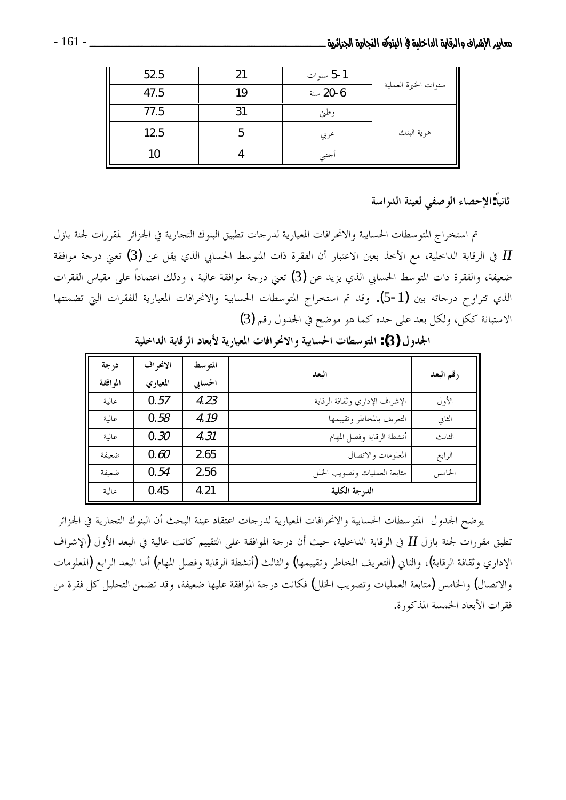| Π<br>52.5 | 21 | 5-1 سنوات |                      |
|-----------|----|-----------|----------------------|
| 47.5      | 10 | 6-20 سنة  | سنوات الخبرة العملية |
| 77.5      |    | وطني      |                      |
| 12.5      |    | عربي      | هوية البنك           |
| 10        |    | أجنبي     |                      |

ثانياً:الإحصاء الوصفى لعينة الدراسة

تم استخراج المتوسطات الحسابية والانحرافات المعيارية لدرجات تطبيق البنوك التجارية في الجزائر لمقررات لجنة بازل ي الرقابة الداخلية، مع الأخذ بعين الاعتبار أن الفقرة ذات المتوسط الحسابي الذي يقل عن (3) تعني درحة موافقة  $I\!I$ ضعيفة، والفقرة ذات المتوسط الحسابي الذي يزيد عن (3) تعني درجة موافقة عالية ، وذلك اعتماداً على مقياس الفقرات الذي تتراوح درحاته بين (1-5). وقد تم استخراج المتوسطات الحسابية والانحرافات المعيارية للفقرات التي تضمنتها الاستبانة ككل، ولكل بعد على حده كما هو موضح في الجدول رقم (3)

| درجة      | الانحراف | المتوسط | البعد                          |           |
|-----------|----------|---------|--------------------------------|-----------|
| المو افقة | المعياري | الحسابي |                                | رقم البعد |
| عالىة     | 0.57     | 4.23    | الإشراف الإداري وثقافة الرقابة | الأول     |
| عالىة     | 0.58     | 4.19    | التعريف بالمخاطر وتقييمها      | الثاني    |
| عالىة     | 0.30     | 4.31    | أنشطة الرقابة وفصل المهام      | الثالث    |
| ضعفة      | 0.60     | 2.65    | المعلومات والاتصال             | الرابع    |
| ضعىفة     | 0.54     | 2.56    | متابعة العمليات وتصويب الخلل   | الخامس    |
| عالىة     | 0.45     | 4.21    | الدرجة الكلية                  |           |

الجدول (3): المتوسطات الحسابية والانحرافات المعيارية لأبعاد الرقابة الداخلية

يوضح الجدول المتوسطات الحسابية والانحرافات المعيارية لدرجات اعتقاد عينة البحث أن البنوك التجارية في الجزائر تطبق مقررات لجنة بازل II في الرقابة الداخلية، حيث أن درجة الموافقة على التقييم كانت عالية في البعد الأول (الإشراف الإداري وثقافة الرقابة)، والثاني (التعريف المخاطر وتقييمها) والثالث (أنشطة الرقابة وفصل المهام) أما البعد الرابع (المعلومات والاتصال) والخامس (متابعة العمليات وتصويب الخلل) فكانت درجة الموافقة عليها ضعيفة، وقد تضمن التحليل كل فقرة من فقرات الأبعاد الخمسة المذكورة.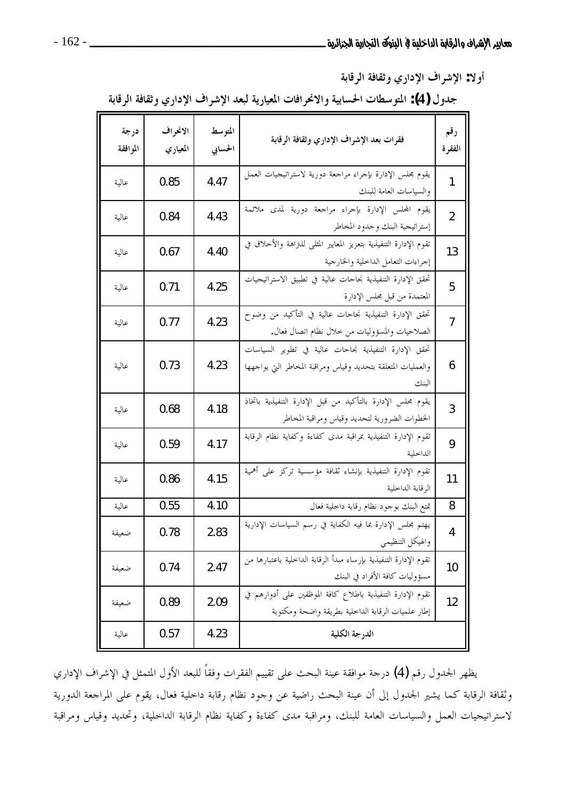أولا: الإشراف الإداري وثقافة الرقابة

جدول (4): المتوسطات الحسابية والانحرافات المعيارية لبعد الإشراف الإداري وثقافة الرقابة

| درجة<br>الموافقة | الانحراف<br>المعياري | المتوسط<br>الحسابي | فقرات بعد الإشراف الإداري وثقافة الرقابة                                                                                       | رقم<br>الفقرة  |
|------------------|----------------------|--------------------|--------------------------------------------------------------------------------------------------------------------------------|----------------|
| عالية            | 0.85                 | 4.47               | يقوم مجلس الإدارة بإجراء مراجعة دورية لاستراتيجيات العمل<br>والسياسات العامة للبنك                                             | 1              |
| عالية            | 0.84                 | 4.43               | يقوم المحلس الإدارة بإجراء مراجعة دورية لمدى ملائمة<br>إستراتيجية البنك وحدود المخاطر                                          | $\overline{2}$ |
| عالية            | 0.67                 | 4.40               | تقوم الإدارة التنفيذية بتعزيز المعايير المثلي للنزاهة والأخلاق في<br>إجراءات التعامل الداخلية والخارجية                        | 13             |
| عالية            | 0.71                 | 4.25               | تحقق الإدارة التنفيذية نجاحات عالية في تطبيق الاستراتيجيات<br>المعتمدة من قبل محلس الإدارة                                     | 5              |
| عالية            | 0.77                 | 4.23               | تحقق الإدارة التنفيذية نجاحات عالية في التأكيد من وضوح<br>الصلاحيات والمسؤوليات من خلال نظام اتصال فعال.                       | 7              |
| عالية            | 0.73                 | 4.23               | تحقق الإدارة التنفيذية نجاحات عالية في تطوير السياسات<br>والعمليات المتعلقة بتحديد وقياس ومراقبة المخاطر التي يواجهها<br>البنك | 6              |
| عالية            | 0.68                 | 4.18               | يقوم مجلس الإدارة بالتأكيد من قبل الإدارة التنفيذية باتخاذ<br>الخطوات الضرورية لتحديد وقياس ومراقبة المخاطر                    | 3              |
| عالية            | 0.59                 | 4.17               | تقوم الإدارة التنفيذية بمراقبة مدى كفاءة وكفاية نظام الرقابة<br>الداخلية                                                       | 9              |
| عالية            | 0.86                 | 4.15               | تقوم الإدارة التنفيذية بإنشاء ثقافة مؤسسية تركز على أهمية<br>الرقابة الداخلية                                                  | 11             |
| عالية            | 0.55                 | 4.10               | تمتع البنك بوحود نظام رقابة داخلية فعال                                                                                        | 8              |
| ضعيفة            | 0.78                 | 2.83               | يهتم مجلس الإدارة بما فيه الكفاية في رسم السياسات الإدارية<br>والهيكل التنظيمي                                                 | 4              |
| ضعيفة            | 0.74                 | 2.47               | تقوم الإدارة التنفيذية بإرساء مبدأ الرقابة الداخلية باعتبارها من<br>مسئووليات كافة الأفراد في البنك                            | 10             |
| ضعيفة            | 0.89                 | 2.09               | تقوم الإدارة التنفيذية باطلاع كافة الموظفين على أدوارهم في<br>إطار علميات الرقابة الداخلية بطريقة واضحة ومكتوبة                | 12             |
| عالية            | 0.57                 | 4.23               | الدرجة الكلية                                                                                                                  |                |

يظهر الجدول رقم (4) درجة موافقة عينة البحث على تقييم الفقرات وفقاً للبعد الأول المتمثل في الإشراف الإداري وثقافة الرقابة كما يشير الجدول إلى أن عينة البحث راضية عن وجود نظام رقابة داخلية فعال، يقوم على المراجعة الدورية لاستراتيجيات العمل والسياسات العامة للبنك، ومراقبة مدى كفاءة وكفاية نظام الرقابة الداخلية، وتحديد وقياس ومراقبة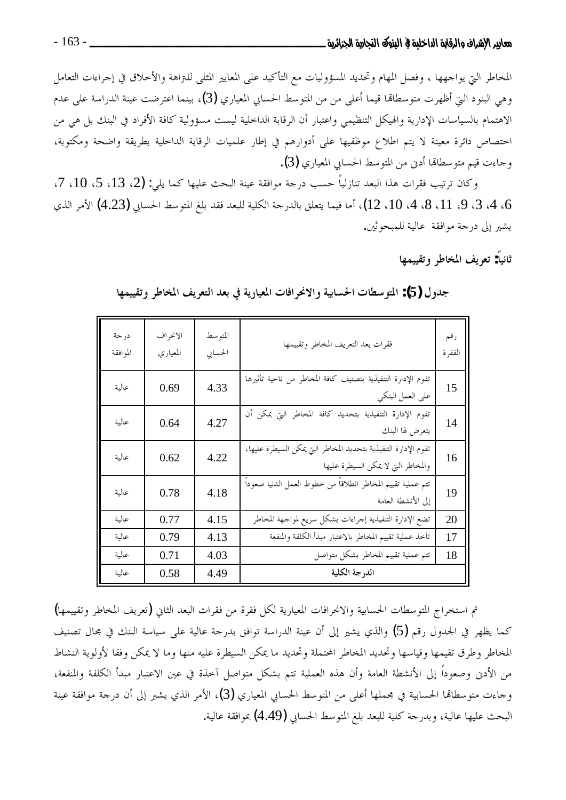المخاطر التي يواجهها ، وفصل المهام وتحديد المسؤوليات مع التأكيد على المعايير المثلي للتراهة والأخلاق في إجراءات التعامل وهي البنود التيّ أظهرت متوسطالها قيما أعلى من من المتوسط الحسابي المعياري (3)، بينما اعترضت عينة الدراسة على عدم الاهتمام بالسياسات الإدارية والهيكل التنظيمي واعتبار أن الرقابة الداخلية ليست مسؤولية كافة الأفراد في البنك بل هي من اختصاص دائرة معينة لا يتم اطلاع موظفيها على أدوارهم في إطار علميات الرقابة الداخلية بطريقة واضحة ومكتوبة، وجاءت قيم متوسطالها أدن من المتوسط الحسابي المعياري (3).

وكان ترتيب فقرات هذا البعد تنازلياً حسب درجة موافقة عينة البحث عليها كما يلي: (2، 13، 5، 10، 7، 6، 4، 3، 9، 11، 8، 4، 10، 12)، أما فيما يتعلق بالدرجة الكلية للبعد فقد بلغ المتوسط الحسابي (4.23) الأمر الذي يشير إلى درجة موافقة عالية للمبحوثين.

ثانياً: تعريف المخاطر وتقييمها

| درجة<br>الموافقة | الانحراف<br>المعياري | المتوسط<br>الحسابي | فقرات بعد التعريف المخاطر وتقييمها                                                                    | رقم<br>الفقرة |
|------------------|----------------------|--------------------|-------------------------------------------------------------------------------------------------------|---------------|
| عالية            | 0.69                 | 4.33               | تقوم الإدارة التنفيذية بتصنيف كافة المخاطر من ناحية تأثيرها<br>على العمل البنكي                       | 15            |
| عالية            | 0.64                 | 4.27               | تقوم الإدارة التنفيذية بتحديد كافة المخاطر التي يمكن أن<br>يتعرض لها البنك                            | 14            |
| عالية            | 0.62                 | 4.22               | تقوم الإدارة التنفيذية بتحديد المخاطر التي يمكن السيطرة عليها،<br>والمخاطر التي لا يمكن السيطرة عليها | 16            |
| عالية            | 0.78                 | 4.18               | تتم عملية تقييم المخاطر انطلاقاً من خطوط العمل الدنيا صعوداً<br>إلى الأنشطة العامة                    | 19            |
| عالية            | 0.77                 | 4.15               | تضع الإدارة التنفيذية إجراءات بشكل سريع لمواجهة المخاطر                                               | 20            |
| عالية            | 0.79                 | 4.13               | تأحذ عملية تقييم المخاطر بالاعتبار مبدأ الكلفة والمنفعة                                               | 17            |
| عالية            | 0.71                 | 4.03               | تتم عملية تقييم المخاطر بشكل متواصل                                                                   | 18            |
| عالية            | 0.58                 | 4.49               | الدرجة الكلية                                                                                         |               |

جدول (5): المتوسطات الحسابية والانحرافات المعيارية في بعد التعريف المخاطر وتقييمها

تم استخراج المتوسطات الحسابية والانحرافات المعيارية لكل فقرة من فقرات البعد الثاني (تعريف المخاطر وتقييمها) كما يظهر في الجدول رقم (5) والذي يشير إلى أن عينة الدراسة توافق بدرجة عالية على سياسة البنك في مجال تصنيف المخاطر وطرق تقيمها وقياسها وتحديد المخاطر المختملة وتحديد ما يمكن السيطرة عليه منها وما لا يمكن وفقا لأولوية النشاط من الأدنى وصعوداً إلى الأنشطة العامة وأن هذه العملية تتم بشكل متواصل آخذة في عين الاعتبار مبدأ الكلفة والمنفعة، وجاءت متوسطالها الحسابية في مجملها أعلى من المتوسط الحسابي المعياري (3)، الأمر الذي يشير إلى أن درجة موافقة عينة البحث عليها عالية، وبدرجة كلية للبعد بلغ المتوسط الحسابي (4.49) بموافقة عالية.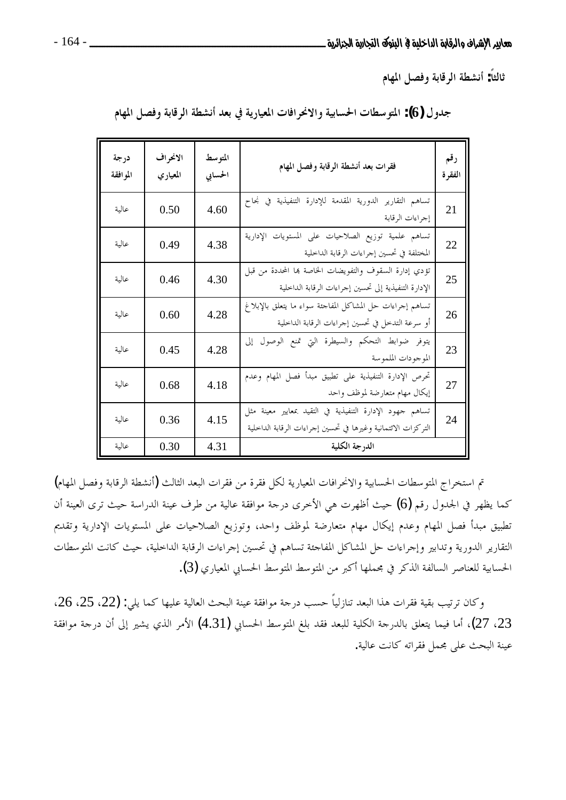ثالثاً: أنشطة الرقابة وفصل المهام

| درجة<br>الموافقة | الانحراف<br>المعياري | المتوسط<br>الحسابي | فقرات بعد أنشطة الرقابة وفصل المهام                                                                                      | رقم<br>الفقرة |
|------------------|----------------------|--------------------|--------------------------------------------------------------------------------------------------------------------------|---------------|
| عالية            | 0.50                 | 4.60               | تساهم التقارير الدورية المقدمة للإدارة التنفيذية في نجاح<br>إجراءات الرقابة                                              | 21            |
| عالية            | 0.49                 | 4.38               | تساهم علمية توزيع الصلاحيات على المستويات الإدارية<br>المختلفة في تحسين إحراءات الرقابة الداخلية                         | 22            |
| عالية            | 0.46                 | 4.30               | تؤدي إدارة السقوف والتفويضات الخاصة بما المحددة من قبل<br>الإدارة التنفيذية إلى تحسين إجراءات الرقابة الداخلية           | 25            |
| عالية            | 0.60                 | 4.28               | تساهم إجراءات حل المشاكل المفاجئة سواء ما يتعلق بالإبلاغ<br>أو سرعة التدحل في تحسين إجراءات الرقابة الداخلية             | 26            |
| عالية            | 0.45                 | 4.28               | يتوفر ضوابط التحكم والسيطرة التي تمنع الوصول إلى<br>الموجودات الملموسة                                                   | 23            |
| عالية            | 0.68                 | 4.18               | تحرص الإدارة التنفيذية على تطبيق مبدأ فصل المهام وعدم<br>إيكال مهام متعارضة لموظف واحد                                   | 27            |
| عالية            | 0.36                 | 4.15               | تساهم جهود الإدارة التنفيذية في التقيد بمعايير معينة مثل<br>التركزات الائتمانية وغيرها في تحسين إحراءات الرقابة الداخلية | 24            |
| عالىة            | 0.30                 | 4.31               | الدرجة الكلية                                                                                                            |               |

جدول (6): المتوسطات الحسابية والانحرافات المعيارية في بعد أنشطة الرقابة وفصل المهام

تم استخراج المتوسطات الحسابية والانحرافات المعيارية لكل فقرة من فقرات البعد الثالث (أنشطة الرقابة وفصل المهام) كما يظهر في الجدول رقم (6) حيث أظهرت هي الأخرى درجة موافقة عالية من طرف عينة الدراسة حيث ترى العينة أن تطبيق مبدأ فصل المهام وعدم إيكال مهام متعارضة لموظف واحد، وتوزيع الصلاحيات على المستويات الإدارية وتقديم التقارير الدورية وتدابير وإجراءات حل المشاكل المفاجئة تساهم في تحسين إجراءات الرقابة الداخلية، حيث كانت المتوسطات الحسابية للعناصر السالفة الذكر في مجملها أكبر من المتوسط المتوسط الحسابي المعياري (3).

وكان ترتيب بقية فقرات هذا البعد تنازلياً حسب درجة موافقة عينة البحث العالية عليها كما يلي: (22، 25، 26، 23، 27)، أما فيما يتعلق بالدرجة الكلية للبعد فقد بلغ المتوسط الحسابي (4.31) الأمر الذي يشير إلى أن درجة موافقة عينة البحث على مجمل فقراته كانت عالية.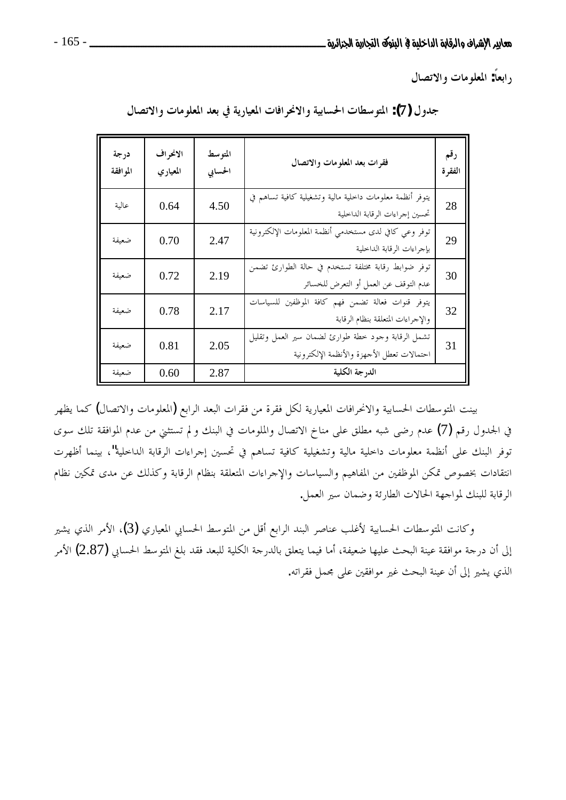رابعاً: المعلومات والاتصال

| درجة<br>الموافقة | الانحراف<br>المعياري | المتوسط<br>الحسابي | فقرات بعد المعلومات والاتصال                                                                     | رقم<br>الفقرة |
|------------------|----------------------|--------------------|--------------------------------------------------------------------------------------------------|---------------|
| عالية            | 0.64                 | 4.50               | يتوفر أنظمة معلومات داحلية مالية وتشغيلية كافية تساهم في<br>تحسين إجراءات الرقابة الداخلية       | 28            |
| ضعيفة            | 0.70                 | 2.47               | توفر وعي كافي لدى مستخدمي أنظمة المعلومات الإلكترونية<br>بإجراءات الرقابة الداخلية               | 29            |
| ضعيفة            | 0.72                 | 2.19               | توفر ضوابط رقابة مختلفة تستخدم في حالة الطوارئ تضمن<br>عدم التوقف عن العمل أو التعرض للخسائر     | 30            |
| ضعيفة            | 0.78                 | 2.17               | يتوفر قنوات فعالة تضمن فهم كافة الموظفين للسياسات<br>والإجراءات المتعلقة بنظام الرقابة           | 32            |
| ضعيفة            | 0.81                 | 2.05               | تشمل الرقابة وحود خطة طوارئ لضمان سير العمل وتقليل<br>احتمالات تعطل الأحهزة والأنظمة الإلكترونية | 31            |
| ضعيفة            | 0.60                 | 2.87               | الدرجة الكلية                                                                                    |               |

جدول (7): المتوسطات الحسابية والانحرافات المعيارية في بعد المعلومات والاتصال

بينت المتوسطات الحسابية والانحرافات المعيارية لكل فقرة من فقرات البعد الرابع (المعلومات والاتصال) كما يظهر في الجدول رقم (7) عدم رضي شبه مطلق على مناخ الاتصال والملومات في البنك و لم تستثني من عدم الموافقة تلك سوى توفر البنك على أنظمة معلومات داخلية مالية وتشغيلية كافية تساهم في تحسين إجراءات الرقابة الداخلية"، بينما أظهرت انتقادات بخصوص تمكن الموظفين من المفاهيم والسياسات والإجراءات المتعلقة بنظام الرقابة وكذلك عن مدى تمكين نظام الرقابة للبنك لمواجهة الحالات الطارئة وضمان سير العمل.

وكانت المتوسطات الحسابية لأغلب عناصر البند الرابع أقل من المتوسط الحسابي المعياري (3)، الأمر الذي يشير إلى أن درجة موافقة عينة البحث عليها ضعيفة، أما فيما يتعلق بالدرجة الكلية للبعد فقد بلغ المتوسط الحسابي (2.87) الأمر الذي يشير إلى أن عينة البحث غير موافقين على مجمل فقراته.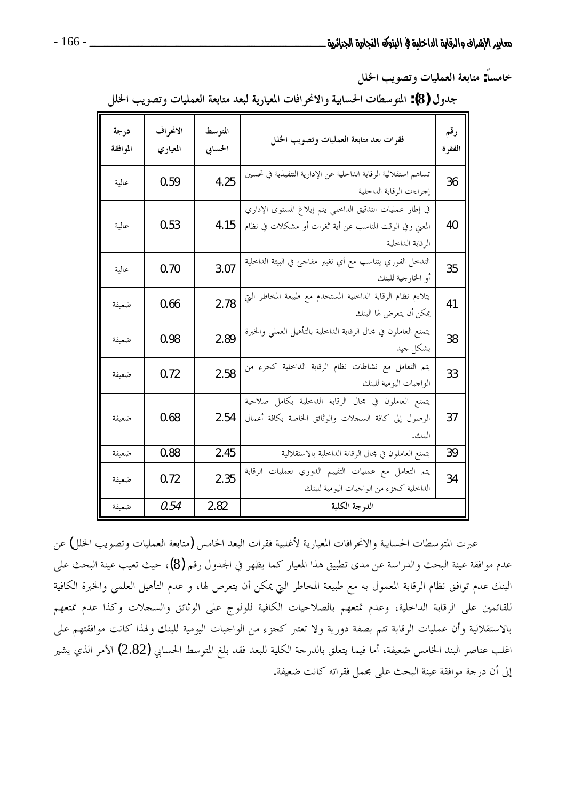خامساً: متابعة العمليات وتصويب الخلل

| جدول (8): المتوسطات الحسابية والانحرافات المعيارية لبعد متابعة العمليات وتصويب الخلل |  |  |  |  |  |  |  |  |
|--------------------------------------------------------------------------------------|--|--|--|--|--|--|--|--|
|--------------------------------------------------------------------------------------|--|--|--|--|--|--|--|--|

| درجة<br>الموافقة | الانحراف<br>المعياري | المتوسط<br>الحسابي | فقرات بعد متابعة العمليات وتصويب الخلل                                                                                                  | رقم<br>الفقرة |
|------------------|----------------------|--------------------|-----------------------------------------------------------------------------------------------------------------------------------------|---------------|
| عالية            | 0.59                 | 4.25               | تساهم استقلالية الرقابة الداخلية عن الإدارية التنفيذية في تحسين<br>إحراءات الرقابة الداخلية                                             | 36            |
| عالية            | 0.53                 | 4.15               | في إطار عمليات التدقيق الداخلي يتم إبلاغ المستوى الإداري<br>المعني وفي الوقت المناسب عن أية ثغرات أو مشكلات في نظام<br>الرقابة الداخلية | 40            |
| عالية            | 0.70                 | 3.07               | التدخل الفوري يتناسب مع أي تغيير مفاجئ في البيئة الداخلية<br>أو الخارجية للبنك                                                          | 35            |
| ضعيفة            | 0.66                 | 2.78               | .<br>يتلاءم نظام الرقابة الداخلية المستخدم مع طبيعة المخاطر التي<br>يمكن أن يتعرض لها البنك                                             | 41            |
| ضعيفة            | 0.98                 | 2.89               | يتمتع العاملون في مجال الرقابة الداخلية بالتأهيل العملي والخبرة<br>بشكل جيد                                                             | 38            |
| ضعيفة            | 0.72                 | 2.58               | يتم التعامل مع نشاطات نظام الرقابة الداخلية كجزء من<br>الواجبات اليومية للبنك                                                           | 33            |
| ضعيفة            | 0.68                 | 2.54               | يتمتع العاملون في مجال الرقابة الداخلية بكامل صلاحية<br>الوصول إلى كافة السجلات والوثائق الخاصة بكافة أعمال<br>البنك.                   | 37            |
| ضعيفة            | 0.88                 | 2.45               | يتمتع العاملون في مجال الرقابة الداخلية بالاستقلالية                                                                                    | 39            |
| ضعيفة            | 0.72                 | 2.35               | يتم التعامل مع عمليات التقييم الدوري لعمليات الرقابة<br>الداخلية كحزء من الواجبات اليومية للبنك                                         | 34            |
| ضعىفة            | 0.54                 | 2.82               | الدرجة الكلية                                                                                                                           |               |

عبرت المتوسطات الحسابية والانحرافات المعيارية لأغلبية فقرات البعد الخامس (متابعة العمليات وتصويب الخلل) عن عدم موافقة عينة البحث والدراسة عن مدى تطبيق هذا المعيار كما يظهر في الجدول رقم (8)، حيث تعيب عينة البحث على البنك عدم توافق نظام الرقابة المعمول به مع طبيعة المخاطر التي يمكن أن يتعرص لها، و عدم التأهيل العلمي والخبرة الكافية للقائمين على الرقابة الداحلية، وعدم تمتعهم بالصلاحيات الكافية للولوج على الوثائق والسجلات وكذا عدم تمتعهم بالاستقلالية وأن عمليات الرقابة تتم بصفة دورية ولا تعتبر كجزء من الواجبات اليومية للبنك ولهذا كانت موافقتهم على اغلب عناصر البند الخامس ضعيفة، أما فيما يتعلق بالدرجة الكلية للبعد فقد بلغ المتوسط الحسابي (2.82) الأمر الذي يشير إلى أن درجة موافقة عينة البحث على مجمل فقراته كانت ضعيفة.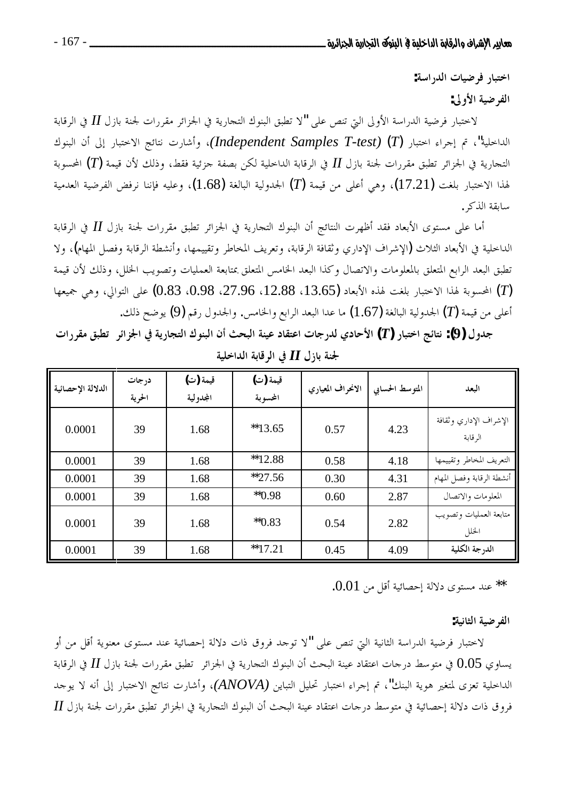اختبار فرضيات الدراسة:

الفرضية الأولى:

لاختبار فرضية الدراسة الأولى التي تنص على "لا تطبق البنوك التجارية في الجزائر مقررات لجنة بازل II في الرقابة الداخلية"، تم إجراء اختبار (Independent Samples T-test) (T)، وأشارت نتائج الاختبار إلى أن البنوك التجارية في الجزائر تطبق مقررات لجنة بازل  $I$  في الرقابة الداحلية لكن بصفة جزئية فقط، وذلك لأن قيمة  $(T)$  المحسوبة لهذا الاختبار بلغت (17.21)، وهي أعلى من قيمة (7) الجدولية البالغة (1.68)، وعليه فإننا نرفض الفرضية العدمية سابقة الذكر .

أما على مستوى الأبعاد فقد أظهرت النتائج أن البنوك التجارية في الجزائر تطبق مقررات لجنة بازل II في الرقابة الداخلية في الأبعاد الثلاث (الإشراف الإداري وثقافة الرقابة، وتعريف المخاطر وتقييمها، وأنشطة الرقابة وفصل المهام)، ولا تطبق البعد الرابع المتعلق بالمعلومات والاتصال وكذا البعد الخامس المتعلق بمتابعة العمليات وتصويب الخلل، وذلك لأن قيمة المحسوبة لهذا الاختبار بلغت لهذه الأبعاد (13.65، 12.88، 27.96، 0.98،) على التوالي، وهي جميعها  $(T)$ أعلى من قيمة (7) الحدولية البالغة (1.67) ما عدا البعد الرابع والخامس. والجدول رقم (9) يوضح ذلك.

جدول (9): نتائج اختبار (T) الأحادي لدرجات اعتقاد عينة البحث أن البنوك التجارية في الجزائر تطبق مقررات

| الدلالة الإحصائية | درجات<br>الحرية | قيمة (ت)<br>المجدولية | قيمة (ت)<br>المحسوبة | الانحراف المعياري | المتوسط الحسابى | البعد                             |
|-------------------|-----------------|-----------------------|----------------------|-------------------|-----------------|-----------------------------------|
| 0.0001            | 39              | 1.68                  | $*13.65$             | 0.57              | 4.23            | الإشراف الإداري وثقافة<br>الرقابة |
| 0.0001            | 39              | 1.68                  | **12.88              | 0.58              | 4.18            | التعريف المخاطر وتقييمها          |
| 0.0001            | 39              | 1.68                  | $*27.56$             | 0.30              | 4.31            | أنشطة الرقابة وفصل المهام         |
| 0.0001            | 39              | 1.68                  | $*$ 0.98             | 0.60              | 2.87            | المعلومات والاتصال                |
| 0.0001            | 39              | 1.68                  | $*$ <sup>0.83</sup>  | 0.54              | 2.82            | متابعة العمليات وتصويب<br>الخلل   |
| 0.0001            | 39              | 1.68                  | **17.21              | 0.45              | 4.09            | الدرجة الكلية                     |

لجنة بازل II في الرقابة الداخلية

\*\* عند مستوى دلالة إحصائية أقل من 0.01.

الفرضية الثانية:

لاختبار فرضية الدراسة الثانية التي تنص على "لا توحد فروق ذات دلالة إحصائية عند مستوى معنوية أقل من أو يساوي 0.05 في متوسط درجات اعتقاد عينة البحث أن البنوك التجارية في الجزائر تطبق مقررات لجنة بازل II في الرقابة الداخلية تعزى لمتغير هوية البنك"، تم إجراء اختبار تحليل التباين (ANOVA)، وأشارت نتائج الاختبار إلى أنه لا يوجد  $H$  فروق ذات دلالة إحصائية في متوسط درجات اعتقاد عينة البحث أن البنوك التجارية في الجزائر تطبق مقررات لجنة بازل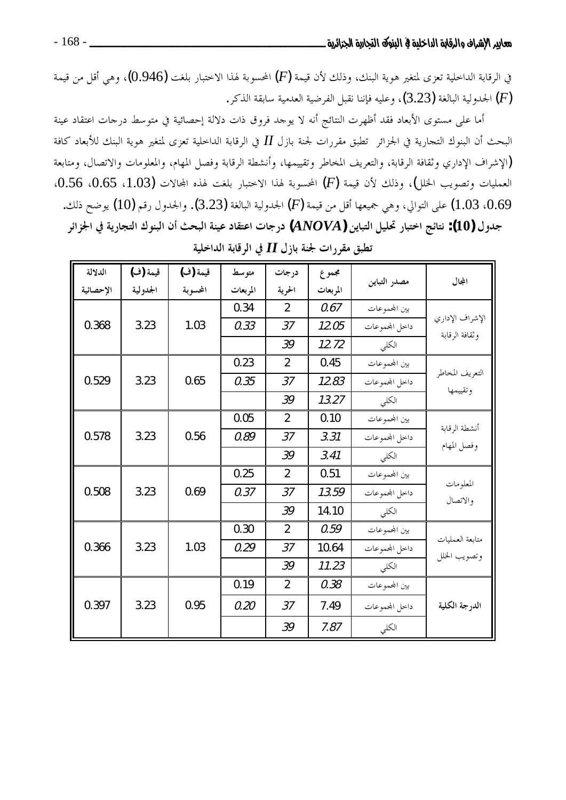في الرقابة الداخلية تعزى لمتغير هوية البنك، وذلك لأن قيمة  $(F)$  المحسوبة لهذا الاختبار بلغت  $(0.946)$ ، وهي أقل من قيمة الجدولية البالغة (3.23)، وعليه فإننا نقبل الفرضية العدمية سابقة الذكر . الجدولية البالغة  $(F)$ 

أما على مستوى الأبعاد فقد أظهرت النتائج أنه لا يوجد فروق ذات دلالة إحصائية في متوسط درجات اعتقاد عينة البحث أن البنوك التجارية في الجزائر تطبق مقررات لجنة بازل II في الرقابة الداخلية تعزى لمتغير هوية البنك للأبعاد كافة (الإشراف الإداري وثقافة الرقابة، والتعريف المخاطر وتقييمها، وأنشطة الرقابة وفصل المهام، والمعلومات والاتصال، ومتابعة العمليات وتصويب الحلل)، وذلك لأن قيمة (F) المحسوبة لهذا الاحتبار بلغت لهذه المحالات (1.03، 0.65، 0.56، 0.69، 1.03) على التوالي، وهي جميعها أقل من قيمة  $(F)$  الجدولية البالغة (3.23). والجدول رقم (10) يوضح ذلك. جدول (10): نتائج اختبار تحليل التباين (ANOVA) درجات اعتقاد عينة البحث أن البنوك التجارية في الجزائر

| الدلالة   | قيمة (ف) | قيمة (ف) | متوسط    | درجات          | مجموع    | مصدر التباين   | المجال                            |
|-----------|----------|----------|----------|----------------|----------|----------------|-----------------------------------|
| الإحصائية | الجدولية | المحسوبة | المربعات | الحرية         | المربعات |                |                                   |
|           |          |          | 0.34     | $\overline{2}$ | 0.67     | بين المحموعات  |                                   |
| 0.368     | 3.23     | 1.03     | 0.33     | 37             | 12.05    | داخل المحموعات | الإشراف الإداري<br>وثقافة الرقابة |
|           |          |          |          | 39             | 12.72    | الكلى          |                                   |
|           |          |          | 0.23     | $\overline{2}$ | 0.45     | بين المحموعات  |                                   |
| 0.529     | 3.23     | 0.65     | 0.35     | 37             | 12.83    | داحل المحموعات | التعريف المخاطر<br>وتقييمها       |
|           |          |          |          | 39             | 13.27    | الكلي          |                                   |
|           |          |          | 0.05     | $\overline{2}$ | 0.10     | بين المحموعات  | أنشطة الرقابة                     |
| 0.578     | 3.23     | 0.56     | 0.89     | 37             | 3.31     | داخل المحموعات | وفصل المهام                       |
|           |          |          |          | 39             | 3.41     | الكلى          |                                   |
|           |          |          | 0.25     | 2              | 0.51     | بين المحموعات  |                                   |
| 0.508     | 3.23     | 0.69     | 0.37     | 37             | 13.59    | داحل المحموعات | المعلومات<br>والاتصال             |
|           |          |          |          | 39             | 14.10    | الكلي          |                                   |
|           |          |          | 0.30     | $\overline{2}$ | 0.59     | بين المحموعات  | متابعة العمليات                   |
| 0.366     | 3.23     | 1.03     | 0.29     | 37             | 10.64    | داخل المحموعات | وتصويب الخلل                      |
|           |          |          |          | 39             | 11.23    | الكلي          |                                   |
|           |          |          | 0.19     | $\overline{2}$ | 0.38     | بين المحموعات  |                                   |
| 0.397     | 3.23     | 0.95     | 0.20     | 37             | 7.49     | داخل المحموعات | الدرجة الكلية                     |
|           |          |          |          | 39             | 7.87     | الكلى          |                                   |

تطبق مقررات لجنة بازل II في الرقابة الداخلية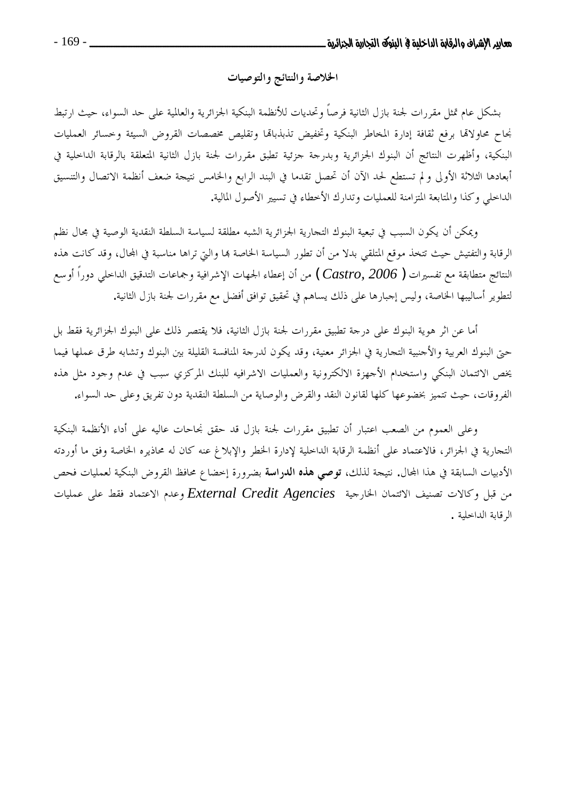# الخلاصة والنتائج والتوصيات

بشكل عام تمثل مقررات لجنة بازل الثانية فرصاً وتحديات للأنظمة البنكية الجزائرية والعالمية على حد السواء، حيث ارتبط نجاح محاولاقما برفع ثقافة إدارة المخاطر البنكية وتخفيض تذبذباقما وتقليص مخصصات القروض السيئة وحسائر العمليات البنكية، وأظهرت النتائج أن البنوك الجزائرية وبدرجة جزئية تطبق مقررات لجنة بازل الثانية المتعلقة بالرقابة الداحلية في أبعادها الثلاثة الأولى ولم تستطع لحد الآن أن تحصل تقدما في البند الرابع والخامس نتيجة ضعف أنظمة الاتصال والتنسيق الداحلي وكذا والمتابعة المتزامنة للعمليات وتدارك الأخطاء في تسيير الأصول المالية.

ويمكن أن يكون السبب في تبعية البنوك التجارية الجزائرية الشبه مطلقة لسياسة السلطة النقدية الوصية في مجال نظم الرقابة والتفتيش حيث تتخذ موقع المتلقى بدلا من أن تطور السياسة الخاصة بما والتي تراها مناسبة في المحال، وقد كانت هذه النتائج متطابقة مع تفسيرات ( Castro, 2006 ) من أن إعطاء الجهات الإشرافية وجماعات التدقيق الداخلي دوراً أوسع لتطوير أساليبها الخاصة، وليس إجبارها على ذلك يساهم في تحقيق توافق أفضل مع مقررات لجنة بازل الثانية.

أما عن اثر هوية البنوك على درجة تطبيق مقررات لجنة بازل الثانية، فلا يقتصر ذلك على البنوك الجزائرية فقط بل حتى البنوك العربية والأجنبية التجارية في الجزائر معنية، وقد يكون لدرجة المنافسة القليلة بين البنوك وتشابه طرق عملها فيما يخص الائتمان البنكي واستخدام الأجهزة الالكترونية والعمليات الاشرافيه للبنك المركزي سبب في عدم وجود مثل هذه الفروقات، حيث تتميز بخضوعها كلها لقانون النقد والقرض والوصاية من السلطة النقدية دون تفريق وعلى حد السواء.

وعلى العموم من الصعب اعتبارٍ أن تطبيق مقررات لجنة بازل قد حقق نجاحات عاليه على أداء الأنظمة البنكية التجارية في الجزائر، فالاعتماد على أنظمة الرقابة الداخلية لإدارة الخطر والإبلاغ عنه كان له محاذيره الخاصة وفق ما أوردته الأدبيات السابقة في هذا المحال. نتيجة لذلك، توصي هذه الدراسة بضرورة إحضاع محافظ القروض البنكية لعمليات فحص من قبل وكالات تصنيف الائتمان الخارجية External Credit Agencies وعدم الاعتماد فقط على عمليات الرقابة الداخلية .